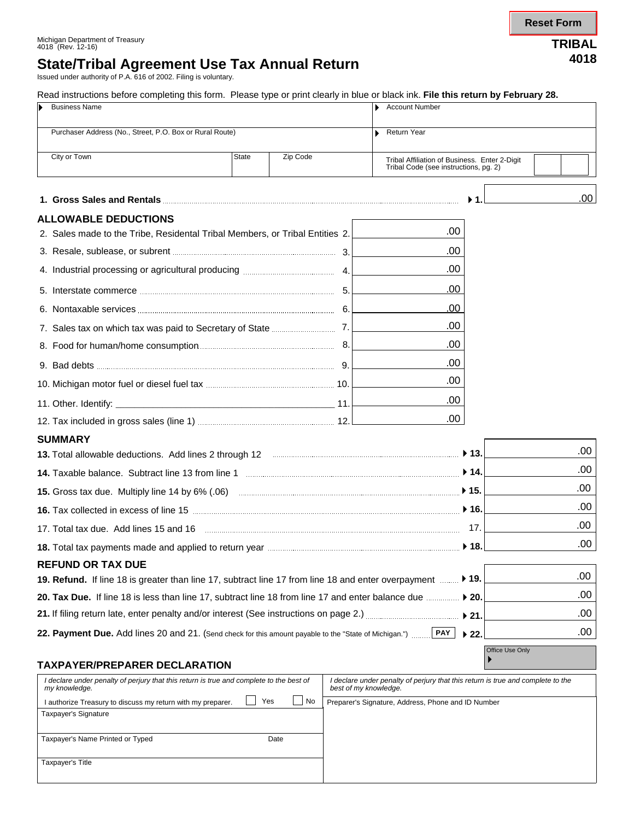### Michigan Department of Treasury 4018 (Rev. 12-16) **TRIBAL**

## **State/Tribal Agreement Use Tax Annual Return <sup>4018</sup>**

Issued under authority of P.A. 616 of 2002. Filing is voluntary.

Read instructions before completing this form. Please type or print clearly in blue or black ink. **File this return by February 28.**

|                                                                                                                                                       | <b>Business Name</b>                                                         |              |          |                                                                                                          | <b>Account Number</b>                                                                  |                           |                  |  |
|-------------------------------------------------------------------------------------------------------------------------------------------------------|------------------------------------------------------------------------------|--------------|----------|----------------------------------------------------------------------------------------------------------|----------------------------------------------------------------------------------------|---------------------------|------------------|--|
|                                                                                                                                                       | Purchaser Address (No., Street, P.O. Box or Rural Route)                     |              |          |                                                                                                          | <b>Return Year</b>                                                                     |                           |                  |  |
|                                                                                                                                                       |                                                                              |              |          |                                                                                                          |                                                                                        |                           |                  |  |
|                                                                                                                                                       | City or Town                                                                 | <b>State</b> | Zip Code |                                                                                                          | Tribal Affiliation of Business. Enter 2-Digit<br>Tribal Code (see instructions, pg. 2) |                           |                  |  |
|                                                                                                                                                       |                                                                              |              |          |                                                                                                          |                                                                                        |                           | .00 <sub>1</sub> |  |
|                                                                                                                                                       | <b>ALLOWABLE DEDUCTIONS</b>                                                  |              |          |                                                                                                          |                                                                                        |                           |                  |  |
|                                                                                                                                                       | 2. Sales made to the Tribe, Residental Tribal Members, or Tribal Entities 2. |              |          |                                                                                                          | .00                                                                                    |                           |                  |  |
|                                                                                                                                                       | 3. Resale, sublease, or subrent <b>manufactures</b> manufactures and 3.      |              |          |                                                                                                          | .00                                                                                    |                           |                  |  |
|                                                                                                                                                       |                                                                              |              |          |                                                                                                          | .00                                                                                    |                           |                  |  |
|                                                                                                                                                       |                                                                              |              |          |                                                                                                          | .00                                                                                    |                           |                  |  |
|                                                                                                                                                       | 6. Nontaxable services <b>manufactures</b> 6.                                |              |          |                                                                                                          | .00                                                                                    |                           |                  |  |
|                                                                                                                                                       |                                                                              |              |          |                                                                                                          | .00                                                                                    |                           |                  |  |
|                                                                                                                                                       |                                                                              |              |          |                                                                                                          | .00                                                                                    |                           |                  |  |
|                                                                                                                                                       |                                                                              |              |          |                                                                                                          | .00                                                                                    |                           |                  |  |
|                                                                                                                                                       |                                                                              |              |          |                                                                                                          | .00                                                                                    |                           |                  |  |
|                                                                                                                                                       |                                                                              |              |          |                                                                                                          | .00                                                                                    |                           |                  |  |
|                                                                                                                                                       |                                                                              |              |          |                                                                                                          | .00                                                                                    |                           |                  |  |
|                                                                                                                                                       | <b>SUMMARY</b>                                                               |              |          |                                                                                                          |                                                                                        |                           |                  |  |
| 13. Total allowable deductions. Add lines 2 through 12 <b>Constitutions</b> and allowable deductions. Add lines 2 through 12 <b>Constitutions</b> 13. |                                                                              |              |          |                                                                                                          |                                                                                        |                           | .00              |  |
| 14. Taxable balance. Subtract line 13 from line 1 manufactured and an intervention of the balance.                                                    |                                                                              |              |          |                                                                                                          |                                                                                        | $\blacktriangleright$ 14. | .00              |  |
|                                                                                                                                                       |                                                                              |              |          |                                                                                                          |                                                                                        |                           | .00              |  |
|                                                                                                                                                       |                                                                              |              |          |                                                                                                          |                                                                                        | $\blacktriangleright$ 16. | .00              |  |
| 17. Total tax due. Add lines 15 and 16 measures and the control of the control of the control of the control of                                       |                                                                              |              |          |                                                                                                          |                                                                                        | 17.                       | .00              |  |
|                                                                                                                                                       |                                                                              |              |          |                                                                                                          |                                                                                        |                           | .00              |  |
| <b>REFUND OR TAX DUE</b>                                                                                                                              |                                                                              |              |          |                                                                                                          |                                                                                        |                           |                  |  |
| 19. Refund. If line 18 is greater than line 17, subtract line 17 from line 18 and enter overpayment                                                   |                                                                              |              |          |                                                                                                          |                                                                                        | $\blacktriangleright$ 19. | .00              |  |
| 20. Tax Due. If line 18 is less than line 17, subtract line 18 from line 17 and enter balance due  ▶ 20.                                              |                                                                              |              |          |                                                                                                          |                                                                                        |                           | .00              |  |
|                                                                                                                                                       |                                                                              |              |          |                                                                                                          |                                                                                        | $\blacktriangleright$ 21. | .00              |  |
| 22. Payment Due. Add lines 20 and 21. (Send check for this amount payable to the "State of Michigan.")                                                |                                                                              |              |          |                                                                                                          | PAY                                                                                    | $\blacktriangleright$ 22. | .00              |  |
| <b>TAXPAYER/PREPARER DECLARATION</b>                                                                                                                  |                                                                              |              |          |                                                                                                          |                                                                                        | Office Use Only           |                  |  |
| I declare under penalty of perjury that this return is true and complete to the best of<br>my knowledge.                                              |                                                                              |              |          | I declare under penalty of perjury that this return is true and complete to the<br>best of my knowledge. |                                                                                        |                           |                  |  |
|                                                                                                                                                       | Yes<br>No<br>I authorize Treasury to discuss my return with my preparer.     |              |          |                                                                                                          | Preparer's Signature, Address, Phone and ID Number                                     |                           |                  |  |
|                                                                                                                                                       | <b>Taxpayer's Signature</b>                                                  |              |          |                                                                                                          |                                                                                        |                           |                  |  |
|                                                                                                                                                       | Taxpayer's Name Printed or Typed                                             |              | Date     |                                                                                                          |                                                                                        |                           |                  |  |
|                                                                                                                                                       | Taxpayer's Title                                                             |              |          |                                                                                                          |                                                                                        |                           |                  |  |